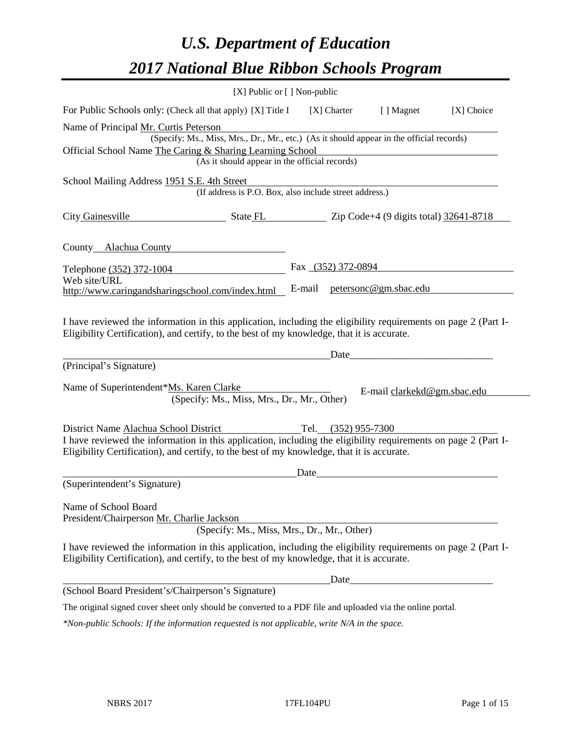# *U.S. Department of Education 2017 National Blue Ribbon Schools Program*

|                                                                                                                                                                                                              | $[X]$ Public or $[ ]$ Non-public                                                            |        |                     |                              |            |
|--------------------------------------------------------------------------------------------------------------------------------------------------------------------------------------------------------------|---------------------------------------------------------------------------------------------|--------|---------------------|------------------------------|------------|
| For Public Schools only: (Check all that apply) [X] Title I                                                                                                                                                  |                                                                                             |        | [X] Charter         | [ ] Magnet                   | [X] Choice |
| Name of Principal Mr. Curtis Peterson                                                                                                                                                                        |                                                                                             |        |                     |                              |            |
|                                                                                                                                                                                                              | (Specify: Ms., Miss, Mrs., Dr., Mr., etc.) (As it should appear in the official records)    |        |                     |                              |            |
| Official School Name The Caring & Sharing Learning School                                                                                                                                                    |                                                                                             |        |                     |                              |            |
|                                                                                                                                                                                                              | (As it should appear in the official records)                                               |        |                     |                              |            |
| School Mailing Address 1951 S.E. 4th Street                                                                                                                                                                  |                                                                                             |        |                     |                              |            |
|                                                                                                                                                                                                              | (If address is P.O. Box, also include street address.)                                      |        |                     |                              |            |
| City Gainesville                                                                                                                                                                                             | $\frac{1}{2641-8718}$ State FL $\frac{1}{2641-8718}$ Zip Code+4 (9 digits total) 32641-8718 |        |                     |                              |            |
| County Alachua County                                                                                                                                                                                        |                                                                                             |        |                     |                              |            |
| Telephone (352) 372-1004                                                                                                                                                                                     |                                                                                             |        |                     | Fax (352) 372-0894           |            |
| Web site/URL                                                                                                                                                                                                 |                                                                                             |        |                     |                              |            |
| http://www.caringandsharingschool.com/index.html                                                                                                                                                             |                                                                                             | E-mail |                     | <u>petersonc@gm.sbac.edu</u> |            |
| (Principal's Signature)<br>Name of Superintendent*Ms. Karen Clarke                                                                                                                                           |                                                                                             |        |                     | Date                         |            |
|                                                                                                                                                                                                              | (Specify: Ms., Miss, Mrs., Dr., Mr., Other)                                                 |        |                     | E-mail clarkekd@gm.sbac.edu  |            |
| District Name Alachua School District                                                                                                                                                                        |                                                                                             |        | Tel. (352) 955-7300 |                              |            |
| I have reviewed the information in this application, including the eligibility requirements on page 2 (Part I-<br>Eligibility Certification), and certify, to the best of my knowledge, that it is accurate. |                                                                                             |        |                     |                              |            |
|                                                                                                                                                                                                              |                                                                                             | Date   |                     |                              |            |
| (Superintendent's Signature)                                                                                                                                                                                 |                                                                                             |        |                     |                              |            |
| Name of School Board<br>President/Chairperson Mr. Charlie Jackson                                                                                                                                            |                                                                                             |        |                     |                              |            |
|                                                                                                                                                                                                              | (Specify: Ms., Miss, Mrs., Dr., Mr., Other)                                                 |        |                     |                              |            |
| I have reviewed the information in this application, including the eligibility requirements on page 2 (Part I-<br>Eligibility Certification), and certify, to the best of my knowledge, that it is accurate. |                                                                                             |        |                     |                              |            |
|                                                                                                                                                                                                              |                                                                                             |        | Date                |                              |            |
| (School Board President's/Chairperson's Signature)                                                                                                                                                           |                                                                                             |        |                     |                              |            |
| The original signed cover sheet only should be converted to a PDF file and uploaded via the online portal.                                                                                                   |                                                                                             |        |                     |                              |            |
| *Non-public Schools: If the information requested is not applicable, write N/A in the space.                                                                                                                 |                                                                                             |        |                     |                              |            |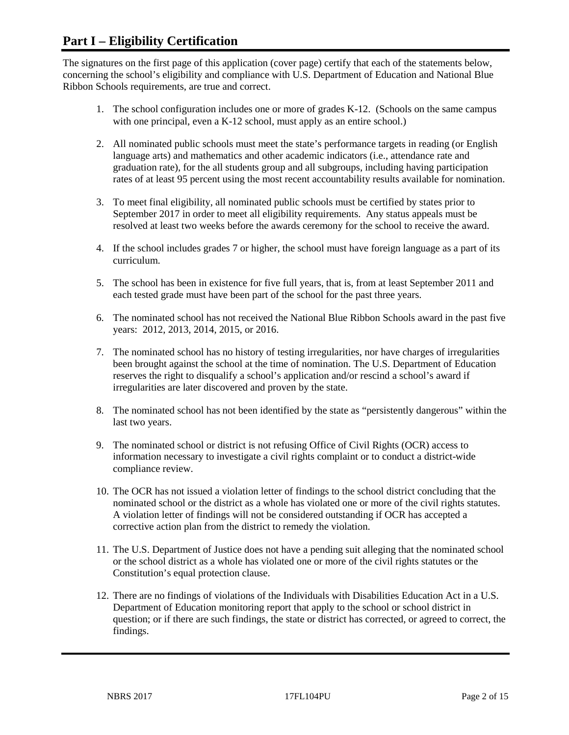# **Part I – Eligibility Certification**

The signatures on the first page of this application (cover page) certify that each of the statements below, concerning the school's eligibility and compliance with U.S. Department of Education and National Blue Ribbon Schools requirements, are true and correct.

- 1. The school configuration includes one or more of grades K-12. (Schools on the same campus with one principal, even a K-12 school, must apply as an entire school.)
- 2. All nominated public schools must meet the state's performance targets in reading (or English language arts) and mathematics and other academic indicators (i.e., attendance rate and graduation rate), for the all students group and all subgroups, including having participation rates of at least 95 percent using the most recent accountability results available for nomination.
- 3. To meet final eligibility, all nominated public schools must be certified by states prior to September 2017 in order to meet all eligibility requirements. Any status appeals must be resolved at least two weeks before the awards ceremony for the school to receive the award.
- 4. If the school includes grades 7 or higher, the school must have foreign language as a part of its curriculum.
- 5. The school has been in existence for five full years, that is, from at least September 2011 and each tested grade must have been part of the school for the past three years.
- 6. The nominated school has not received the National Blue Ribbon Schools award in the past five years: 2012, 2013, 2014, 2015, or 2016.
- 7. The nominated school has no history of testing irregularities, nor have charges of irregularities been brought against the school at the time of nomination. The U.S. Department of Education reserves the right to disqualify a school's application and/or rescind a school's award if irregularities are later discovered and proven by the state.
- 8. The nominated school has not been identified by the state as "persistently dangerous" within the last two years.
- 9. The nominated school or district is not refusing Office of Civil Rights (OCR) access to information necessary to investigate a civil rights complaint or to conduct a district-wide compliance review.
- 10. The OCR has not issued a violation letter of findings to the school district concluding that the nominated school or the district as a whole has violated one or more of the civil rights statutes. A violation letter of findings will not be considered outstanding if OCR has accepted a corrective action plan from the district to remedy the violation.
- 11. The U.S. Department of Justice does not have a pending suit alleging that the nominated school or the school district as a whole has violated one or more of the civil rights statutes or the Constitution's equal protection clause.
- 12. There are no findings of violations of the Individuals with Disabilities Education Act in a U.S. Department of Education monitoring report that apply to the school or school district in question; or if there are such findings, the state or district has corrected, or agreed to correct, the findings.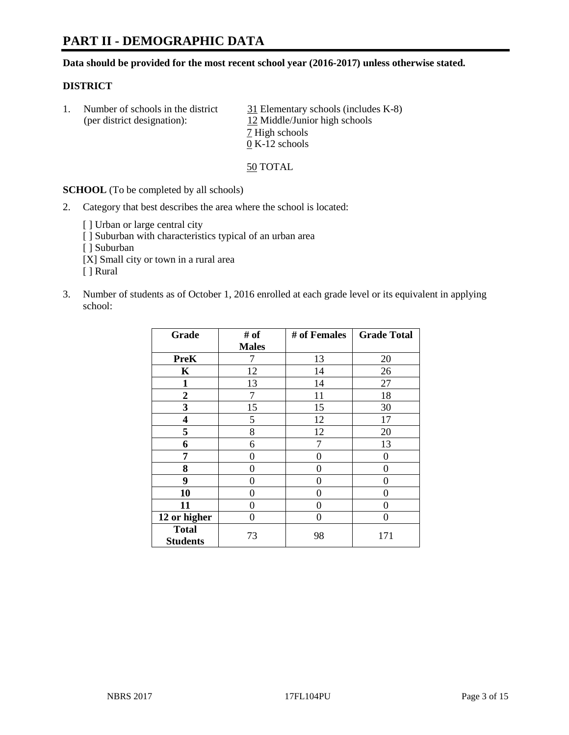# **PART II - DEMOGRAPHIC DATA**

**Data should be provided for the most recent school year (2016-2017) unless otherwise stated.** 

#### **DISTRICT**

1. Number of schools in the district 31 Elementary schools (includes K-8) (per district designation): 12 Middle/Junior high schools 7 High schools 0 K-12 schools

50 TOTAL

**SCHOOL** (To be completed by all schools)

2. Category that best describes the area where the school is located:

[] Urban or large central city [ ] Suburban with characteristics typical of an urban area [ ] Suburban [X] Small city or town in a rural area [ ] Rural

3. Number of students as of October 1, 2016 enrolled at each grade level or its equivalent in applying school:

| Grade                           | # of         | # of Females | <b>Grade Total</b> |
|---------------------------------|--------------|--------------|--------------------|
|                                 | <b>Males</b> |              |                    |
| <b>PreK</b>                     | 7            | 13           | 20                 |
| K                               | 12           | 14           | 26                 |
| $\mathbf{1}$                    | 13           | 14           | 27                 |
| $\boldsymbol{2}$                | 7            | 11           | 18                 |
| 3                               | 15           | 15           | 30                 |
| 4                               | 5            | 12           | 17                 |
| 5                               | 8            | 12           | 20                 |
| 6                               | 6            | 7            | 13                 |
| 7                               | 0            | 0            | 0                  |
| 8                               | 0            | 0            | 0                  |
| 9                               | 0            | 0            | 0                  |
| 10                              | 0            | 0            | 0                  |
| 11                              | 0            | 0            | 0                  |
| 12 or higher                    | 0            | 0            | 0                  |
| <b>Total</b><br><b>Students</b> | 73           | 98           | 171                |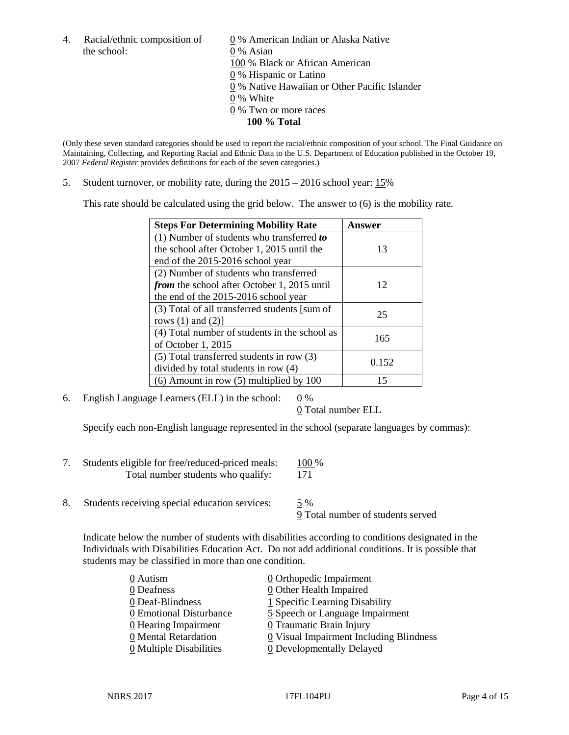the school: 0 % Asian

4. Racial/ethnic composition of  $\qquad \qquad \underline{0}$  % American Indian or Alaska Native 100 % Black or African American 0 % Hispanic or Latino 0 % Native Hawaiian or Other Pacific Islander 0 % White 0 % Two or more races **100 % Total**

(Only these seven standard categories should be used to report the racial/ethnic composition of your school. The Final Guidance on Maintaining, Collecting, and Reporting Racial and Ethnic Data to the U.S. Department of Education published in the October 19, 2007 *Federal Register* provides definitions for each of the seven categories.)

5. Student turnover, or mobility rate, during the 2015 – 2016 school year: 15%

This rate should be calculated using the grid below. The answer to (6) is the mobility rate.

| <b>Steps For Determining Mobility Rate</b>         | Answer |  |
|----------------------------------------------------|--------|--|
| (1) Number of students who transferred to          |        |  |
| the school after October 1, 2015 until the         | 13     |  |
| end of the 2015-2016 school year                   |        |  |
| (2) Number of students who transferred             |        |  |
| <i>from</i> the school after October 1, 2015 until | 12     |  |
| the end of the 2015-2016 school year               |        |  |
| (3) Total of all transferred students [sum of      | 25     |  |
| rows $(1)$ and $(2)$ ]                             |        |  |
| (4) Total number of students in the school as      | 165    |  |
| of October 1, 2015                                 |        |  |
| (5) Total transferred students in row (3)          | 0.152  |  |
| divided by total students in row (4)               |        |  |
| $(6)$ Amount in row $(5)$ multiplied by 100        | 15     |  |

6. English Language Learners (ELL) in the school:  $0\%$ 

0 Total number ELL

Specify each non-English language represented in the school (separate languages by commas):

- 7. Students eligible for free/reduced-priced meals: 100 % Total number students who qualify: 171
- 8. Students receiving special education services: 5 %

9 Total number of students served

Indicate below the number of students with disabilities according to conditions designated in the Individuals with Disabilities Education Act. Do not add additional conditions. It is possible that students may be classified in more than one condition.

| 0 Autism                              | $\underline{0}$ Orthopedic Impairment   |
|---------------------------------------|-----------------------------------------|
| 0 Deafness                            | 0 Other Health Impaired                 |
| 0 Deaf-Blindness                      | 1 Specific Learning Disability          |
| 0 Emotional Disturbance               | 5 Speech or Language Impairment         |
| 0 Hearing Impairment                  | 0 Traumatic Brain Injury                |
| 0 Mental Retardation                  | 0 Visual Impairment Including Blindness |
| $\underline{0}$ Multiple Disabilities | <b>0</b> Developmentally Delayed        |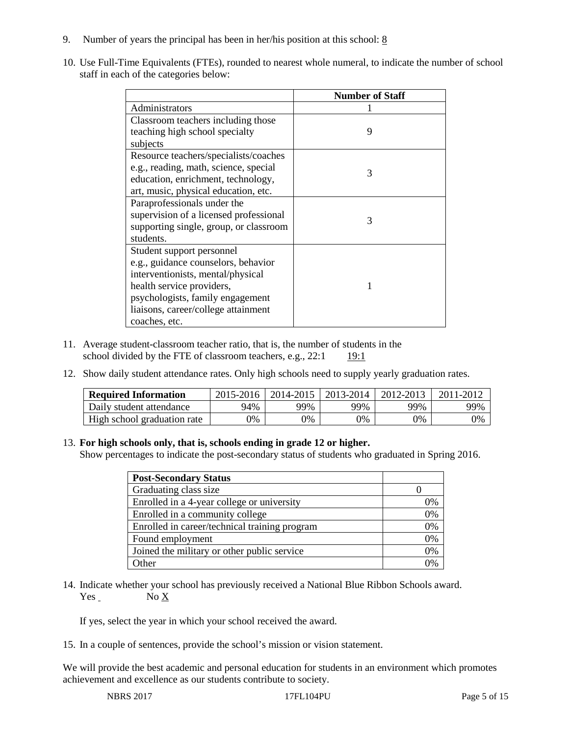- 9. Number of years the principal has been in her/his position at this school:  $8$
- 10. Use Full-Time Equivalents (FTEs), rounded to nearest whole numeral, to indicate the number of school staff in each of the categories below:

|                                        | <b>Number of Staff</b> |
|----------------------------------------|------------------------|
| Administrators                         |                        |
| Classroom teachers including those     |                        |
| teaching high school specialty         | 9                      |
| subjects                               |                        |
| Resource teachers/specialists/coaches  |                        |
| e.g., reading, math, science, special  | 3                      |
| education, enrichment, technology,     |                        |
| art, music, physical education, etc.   |                        |
| Paraprofessionals under the            |                        |
| supervision of a licensed professional | 3                      |
| supporting single, group, or classroom |                        |
| students.                              |                        |
| Student support personnel              |                        |
| e.g., guidance counselors, behavior    |                        |
| interventionists, mental/physical      |                        |
| health service providers,              |                        |
| psychologists, family engagement       |                        |
| liaisons, career/college attainment    |                        |
| coaches, etc.                          |                        |

- 11. Average student-classroom teacher ratio, that is, the number of students in the school divided by the FTE of classroom teachers, e.g.,  $22:1$  19:1
- 12. Show daily student attendance rates. Only high schools need to supply yearly graduation rates.

| <b>Required Information</b> | 2015-2016 | 2014-2015 | 2013-2014 | 2012-2013 |     |
|-----------------------------|-----------|-----------|-----------|-----------|-----|
| Daily student attendance    | 94%       | 99%       | 99%       | 99%       | 99% |
| High school graduation rate | 0%        | 0%        | 0%        | 9%        | 0%  |

#### 13. **For high schools only, that is, schools ending in grade 12 or higher.**

Show percentages to indicate the post-secondary status of students who graduated in Spring 2016.

| <b>Post-Secondary Status</b>                  |    |
|-----------------------------------------------|----|
| Graduating class size                         |    |
| Enrolled in a 4-year college or university    | 0% |
| Enrolled in a community college               | 0% |
| Enrolled in career/technical training program | 0% |
| Found employment                              | 0% |
| Joined the military or other public service   | 0% |
| )ther                                         |    |

14. Indicate whether your school has previously received a National Blue Ribbon Schools award. Yes No X

If yes, select the year in which your school received the award.

15. In a couple of sentences, provide the school's mission or vision statement.

We will provide the best academic and personal education for students in an environment which promotes achievement and excellence as our students contribute to society.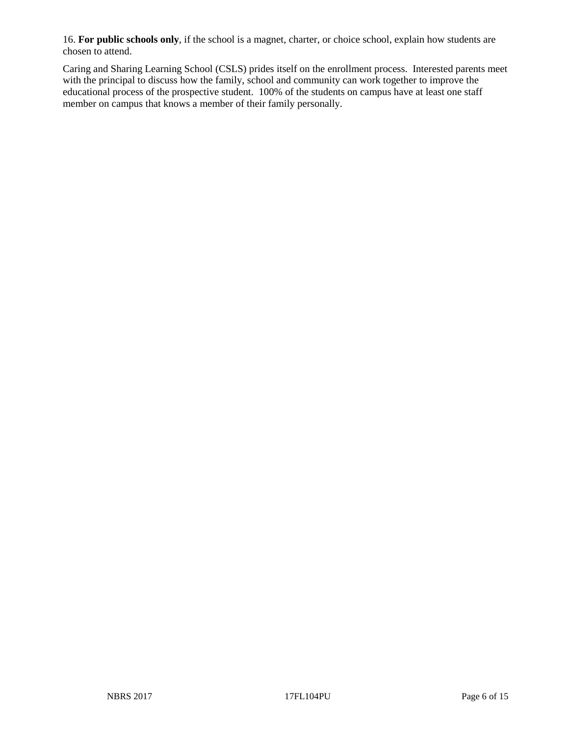16. **For public schools only**, if the school is a magnet, charter, or choice school, explain how students are chosen to attend.

Caring and Sharing Learning School (CSLS) prides itself on the enrollment process. Interested parents meet with the principal to discuss how the family, school and community can work together to improve the educational process of the prospective student. 100% of the students on campus have at least one staff member on campus that knows a member of their family personally.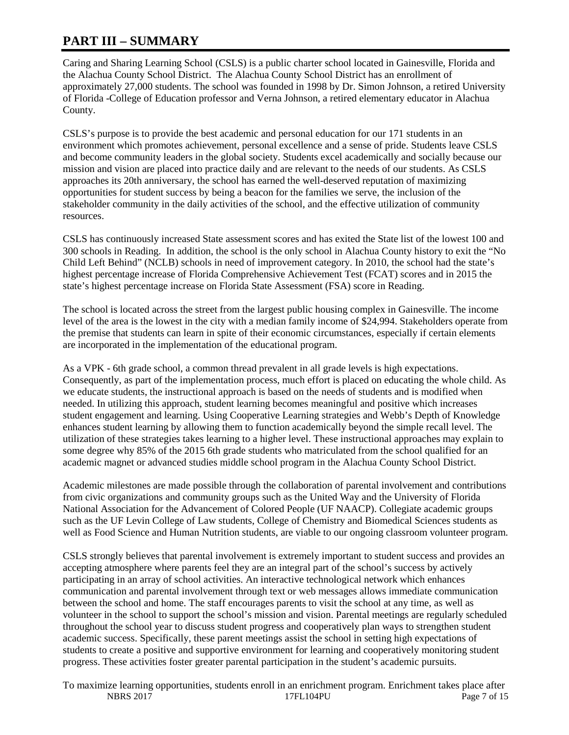# **PART III – SUMMARY**

Caring and Sharing Learning School (CSLS) is a public charter school located in Gainesville, Florida and the Alachua County School District. The Alachua County School District has an enrollment of approximately 27,000 students. The school was founded in 1998 by Dr. Simon Johnson, a retired University of Florida -College of Education professor and Verna Johnson, a retired elementary educator in Alachua County.

CSLS's purpose is to provide the best academic and personal education for our 171 students in an environment which promotes achievement, personal excellence and a sense of pride. Students leave CSLS and become community leaders in the global society. Students excel academically and socially because our mission and vision are placed into practice daily and are relevant to the needs of our students. As CSLS approaches its 20th anniversary, the school has earned the well-deserved reputation of maximizing opportunities for student success by being a beacon for the families we serve, the inclusion of the stakeholder community in the daily activities of the school, and the effective utilization of community resources.

CSLS has continuously increased State assessment scores and has exited the State list of the lowest 100 and 300 schools in Reading. In addition, the school is the only school in Alachua County history to exit the "No Child Left Behind" (NCLB) schools in need of improvement category. In 2010, the school had the state's highest percentage increase of Florida Comprehensive Achievement Test (FCAT) scores and in 2015 the state's highest percentage increase on Florida State Assessment (FSA) score in Reading.

The school is located across the street from the largest public housing complex in Gainesville. The income level of the area is the lowest in the city with a median family income of \$24,994. Stakeholders operate from the premise that students can learn in spite of their economic circumstances, especially if certain elements are incorporated in the implementation of the educational program.

As a VPK - 6th grade school, a common thread prevalent in all grade levels is high expectations. Consequently, as part of the implementation process, much effort is placed on educating the whole child. As we educate students, the instructional approach is based on the needs of students and is modified when needed. In utilizing this approach, student learning becomes meaningful and positive which increases student engagement and learning. Using Cooperative Learning strategies and Webb's Depth of Knowledge enhances student learning by allowing them to function academically beyond the simple recall level. The utilization of these strategies takes learning to a higher level. These instructional approaches may explain to some degree why 85% of the 2015 6th grade students who matriculated from the school qualified for an academic magnet or advanced studies middle school program in the Alachua County School District.

Academic milestones are made possible through the collaboration of parental involvement and contributions from civic organizations and community groups such as the United Way and the University of Florida National Association for the Advancement of Colored People (UF NAACP). Collegiate academic groups such as the UF Levin College of Law students, College of Chemistry and Biomedical Sciences students as well as Food Science and Human Nutrition students, are viable to our ongoing classroom volunteer program.

CSLS strongly believes that parental involvement is extremely important to student success and provides an accepting atmosphere where parents feel they are an integral part of the school's success by actively participating in an array of school activities. An interactive technological network which enhances communication and parental involvement through text or web messages allows immediate communication between the school and home. The staff encourages parents to visit the school at any time, as well as volunteer in the school to support the school's mission and vision. Parental meetings are regularly scheduled throughout the school year to discuss student progress and cooperatively plan ways to strengthen student academic success. Specifically, these parent meetings assist the school in setting high expectations of students to create a positive and supportive environment for learning and cooperatively monitoring student progress. These activities foster greater parental participation in the student's academic pursuits.

NBRS 2017 **17FL104PU** Page 7 of 15 To maximize learning opportunities, students enroll in an enrichment program. Enrichment takes place after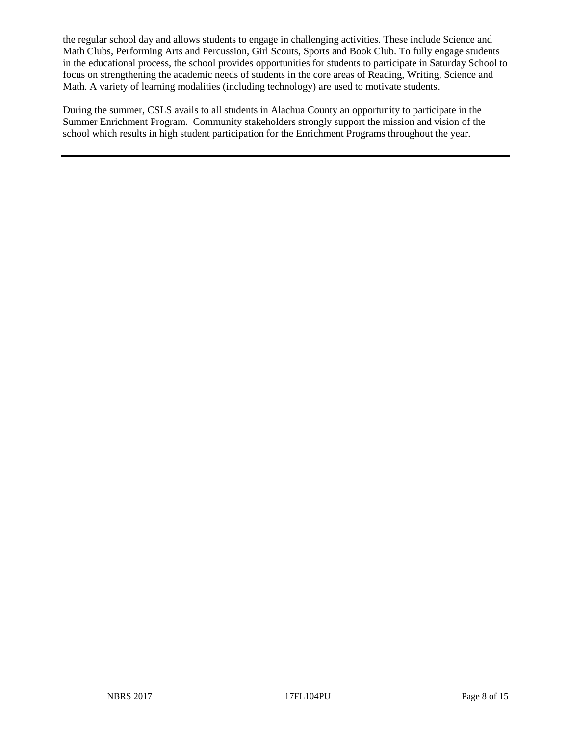the regular school day and allows students to engage in challenging activities. These include Science and Math Clubs, Performing Arts and Percussion, Girl Scouts, Sports and Book Club. To fully engage students in the educational process, the school provides opportunities for students to participate in Saturday School to focus on strengthening the academic needs of students in the core areas of Reading, Writing, Science and Math. A variety of learning modalities (including technology) are used to motivate students.

During the summer, CSLS avails to all students in Alachua County an opportunity to participate in the Summer Enrichment Program. Community stakeholders strongly support the mission and vision of the school which results in high student participation for the Enrichment Programs throughout the year.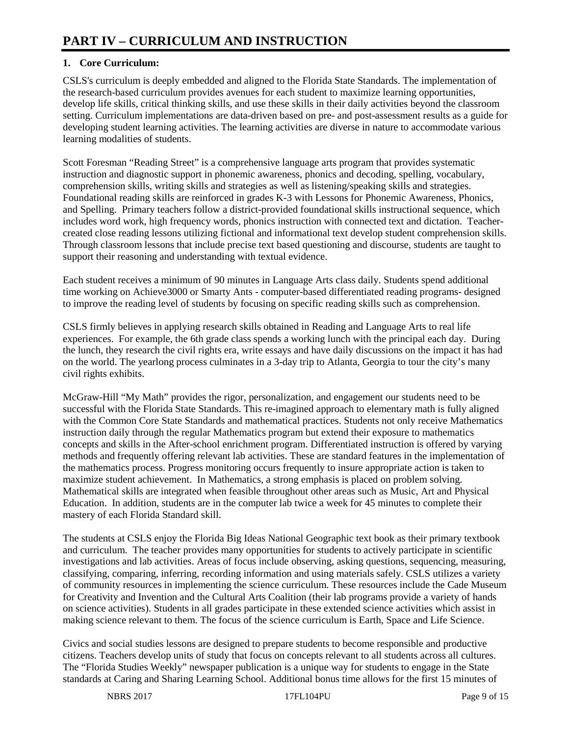## **1. Core Curriculum:**

CSLS's curriculum is deeply embedded and aligned to the Florida State Standards. The implementation of the research-based curriculum provides avenues for each student to maximize learning opportunities, develop life skills, critical thinking skills, and use these skills in their daily activities beyond the classroom setting. Curriculum implementations are data-driven based on pre- and post-assessment results as a guide for developing student learning activities. The learning activities are diverse in nature to accommodate various learning modalities of students.

Scott Foresman "Reading Street" is a comprehensive language arts program that provides systematic instruction and diagnostic support in phonemic awareness, phonics and decoding, spelling, vocabulary, comprehension skills, writing skills and strategies as well as listening/speaking skills and strategies. Foundational reading skills are reinforced in grades K-3 with Lessons for Phonemic Awareness, Phonics, and Spelling. Primary teachers follow a district-provided foundational skills instructional sequence, which includes word work, high frequency words, phonics instruction with connected text and dictation. Teachercreated close reading lessons utilizing fictional and informational text develop student comprehension skills. Through classroom lessons that include precise text based questioning and discourse, students are taught to support their reasoning and understanding with textual evidence.

Each student receives a minimum of 90 minutes in Language Arts class daily. Students spend additional time working on Achieve3000 or Smarty Ants - computer-based differentiated reading programs- designed to improve the reading level of students by focusing on specific reading skills such as comprehension.

CSLS firmly believes in applying research skills obtained in Reading and Language Arts to real life experiences. For example, the 6th grade class spends a working lunch with the principal each day. During the lunch, they research the civil rights era, write essays and have daily discussions on the impact it has had on the world. The yearlong process culminates in a 3-day trip to Atlanta, Georgia to tour the city's many civil rights exhibits.

McGraw-Hill "My Math" provides the rigor, personalization, and engagement our students need to be successful with the Florida State Standards. This re-imagined approach to elementary math is fully aligned with the Common Core State Standards and mathematical practices. Students not only receive Mathematics instruction daily through the regular Mathematics program but extend their exposure to mathematics concepts and skills in the After-school enrichment program. Differentiated instruction is offered by varying methods and frequently offering relevant lab activities. These are standard features in the implementation of the mathematics process. Progress monitoring occurs frequently to insure appropriate action is taken to maximize student achievement. In Mathematics, a strong emphasis is placed on problem solving. Mathematical skills are integrated when feasible throughout other areas such as Music, Art and Physical Education. In addition, students are in the computer lab twice a week for 45 minutes to complete their mastery of each Florida Standard skill.

The students at CSLS enjoy the Florida Big Ideas National Geographic text book as their primary textbook and curriculum. The teacher provides many opportunities for students to actively participate in scientific investigations and lab activities. Areas of focus include observing, asking questions, sequencing, measuring, classifying, comparing, inferring, recording information and using materials safely. CSLS utilizes a variety of community resources in implementing the science curriculum. These resources include the Cade Museum for Creativity and Invention and the Cultural Arts Coalition (their lab programs provide a variety of hands on science activities). Students in all grades participate in these extended science activities which assist in making science relevant to them. The focus of the science curriculum is Earth, Space and Life Science.

Civics and social studies lessons are designed to prepare students to become responsible and productive citizens. Teachers develop units of study that focus on concepts relevant to all students across all cultures. The "Florida Studies Weekly" newspaper publication is a unique way for students to engage in the State standards at Caring and Sharing Learning School. Additional bonus time allows for the first 15 minutes of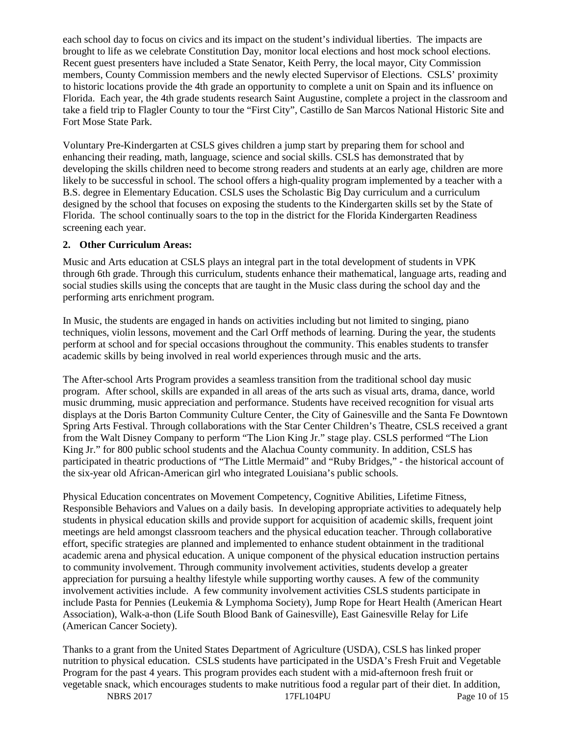each school day to focus on civics and its impact on the student's individual liberties. The impacts are brought to life as we celebrate Constitution Day, monitor local elections and host mock school elections. Recent guest presenters have included a State Senator, Keith Perry, the local mayor, City Commission members, County Commission members and the newly elected Supervisor of Elections. CSLS' proximity to historic locations provide the 4th grade an opportunity to complete a unit on Spain and its influence on Florida. Each year, the 4th grade students research Saint Augustine, complete a project in the classroom and take a field trip to Flagler County to tour the "First City", Castillo de San Marcos National Historic Site and Fort Mose State Park.

Voluntary Pre-Kindergarten at CSLS gives children a jump start by preparing them for school and enhancing their reading, math, language, science and social skills. CSLS has demonstrated that by developing the skills children need to become strong readers and students at an early age, children are more likely to be successful in school. The school offers a high-quality program implemented by a teacher with a B.S. degree in Elementary Education. CSLS uses the Scholastic Big Day curriculum and a curriculum designed by the school that focuses on exposing the students to the Kindergarten skills set by the State of Florida. The school continually soars to the top in the district for the Florida Kindergarten Readiness screening each year.

#### **2. Other Curriculum Areas:**

Music and Arts education at CSLS plays an integral part in the total development of students in VPK through 6th grade. Through this curriculum, students enhance their mathematical, language arts, reading and social studies skills using the concepts that are taught in the Music class during the school day and the performing arts enrichment program.

In Music, the students are engaged in hands on activities including but not limited to singing, piano techniques, violin lessons, movement and the Carl Orff methods of learning. During the year, the students perform at school and for special occasions throughout the community. This enables students to transfer academic skills by being involved in real world experiences through music and the arts.

The After-school Arts Program provides a seamless transition from the traditional school day music program. After school, skills are expanded in all areas of the arts such as visual arts, drama, dance, world music drumming, music appreciation and performance. Students have received recognition for visual arts displays at the Doris Barton Community Culture Center, the City of Gainesville and the Santa Fe Downtown Spring Arts Festival. Through collaborations with the Star Center Children's Theatre, CSLS received a grant from the Walt Disney Company to perform "The Lion King Jr." stage play. CSLS performed "The Lion King Jr." for 800 public school students and the Alachua County community. In addition, CSLS has participated in theatric productions of "The Little Mermaid" and "Ruby Bridges," - the historical account of the six-year old African-American girl who integrated Louisiana's public schools.

Physical Education concentrates on Movement Competency, Cognitive Abilities, Lifetime Fitness, Responsible Behaviors and Values on a daily basis. In developing appropriate activities to adequately help students in physical education skills and provide support for acquisition of academic skills, frequent joint meetings are held amongst classroom teachers and the physical education teacher. Through collaborative effort, specific strategies are planned and implemented to enhance student obtainment in the traditional academic arena and physical education. A unique component of the physical education instruction pertains to community involvement. Through community involvement activities, students develop a greater appreciation for pursuing a healthy lifestyle while supporting worthy causes. A few of the community involvement activities include. A few community involvement activities CSLS students participate in include Pasta for Pennies (Leukemia & Lymphoma Society), Jump Rope for Heart Health (American Heart Association), Walk-a-thon (Life South Blood Bank of Gainesville), East Gainesville Relay for Life (American Cancer Society).

Thanks to a grant from the United States Department of Agriculture (USDA), CSLS has linked proper nutrition to physical education. CSLS students have participated in the USDA's Fresh Fruit and Vegetable Program for the past 4 years. This program provides each student with a mid-afternoon fresh fruit or vegetable snack, which encourages students to make nutritious food a regular part of their diet. In addition,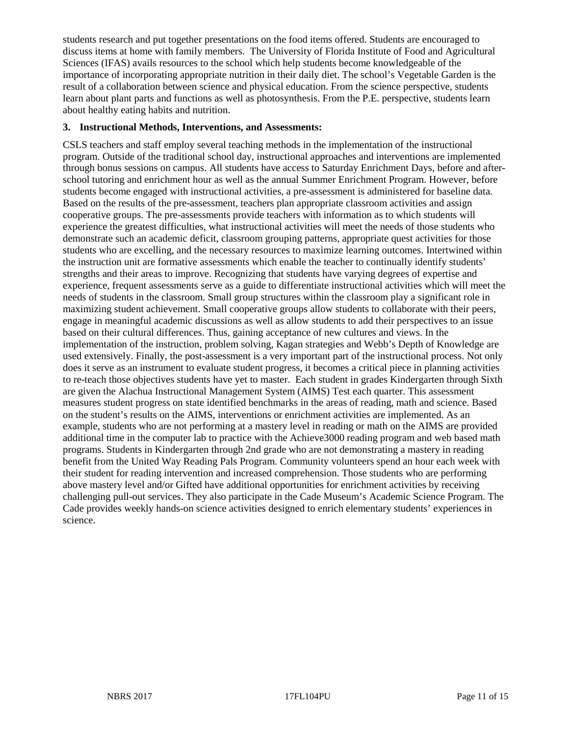students research and put together presentations on the food items offered. Students are encouraged to discuss items at home with family members. The University of Florida Institute of Food and Agricultural Sciences (IFAS) avails resources to the school which help students become knowledgeable of the importance of incorporating appropriate nutrition in their daily diet. The school's Vegetable Garden is the result of a collaboration between science and physical education. From the science perspective, students learn about plant parts and functions as well as photosynthesis. From the P.E. perspective, students learn about healthy eating habits and nutrition.

#### **3. Instructional Methods, Interventions, and Assessments:**

CSLS teachers and staff employ several teaching methods in the implementation of the instructional program. Outside of the traditional school day, instructional approaches and interventions are implemented through bonus sessions on campus. All students have access to Saturday Enrichment Days, before and afterschool tutoring and enrichment hour as well as the annual Summer Enrichment Program. However, before students become engaged with instructional activities, a pre-assessment is administered for baseline data. Based on the results of the pre-assessment, teachers plan appropriate classroom activities and assign cooperative groups. The pre-assessments provide teachers with information as to which students will experience the greatest difficulties, what instructional activities will meet the needs of those students who demonstrate such an academic deficit, classroom grouping patterns, appropriate quest activities for those students who are excelling, and the necessary resources to maximize learning outcomes. Intertwined within the instruction unit are formative assessments which enable the teacher to continually identify students' strengths and their areas to improve. Recognizing that students have varying degrees of expertise and experience, frequent assessments serve as a guide to differentiate instructional activities which will meet the needs of students in the classroom. Small group structures within the classroom play a significant role in maximizing student achievement. Small cooperative groups allow students to collaborate with their peers, engage in meaningful academic discussions as well as allow students to add their perspectives to an issue based on their cultural differences. Thus, gaining acceptance of new cultures and views. In the implementation of the instruction, problem solving, Kagan strategies and Webb's Depth of Knowledge are used extensively. Finally, the post-assessment is a very important part of the instructional process. Not only does it serve as an instrument to evaluate student progress, it becomes a critical piece in planning activities to re-teach those objectives students have yet to master. Each student in grades Kindergarten through Sixth are given the Alachua Instructional Management System (AIMS) Test each quarter. This assessment measures student progress on state identified benchmarks in the areas of reading, math and science. Based on the student's results on the AIMS, interventions or enrichment activities are implemented. As an example, students who are not performing at a mastery level in reading or math on the AIMS are provided additional time in the computer lab to practice with the Achieve3000 reading program and web based math programs. Students in Kindergarten through 2nd grade who are not demonstrating a mastery in reading benefit from the United Way Reading Pals Program. Community volunteers spend an hour each week with their student for reading intervention and increased comprehension. Those students who are performing above mastery level and/or Gifted have additional opportunities for enrichment activities by receiving challenging pull-out services. They also participate in the Cade Museum's Academic Science Program. The Cade provides weekly hands-on science activities designed to enrich elementary students' experiences in science.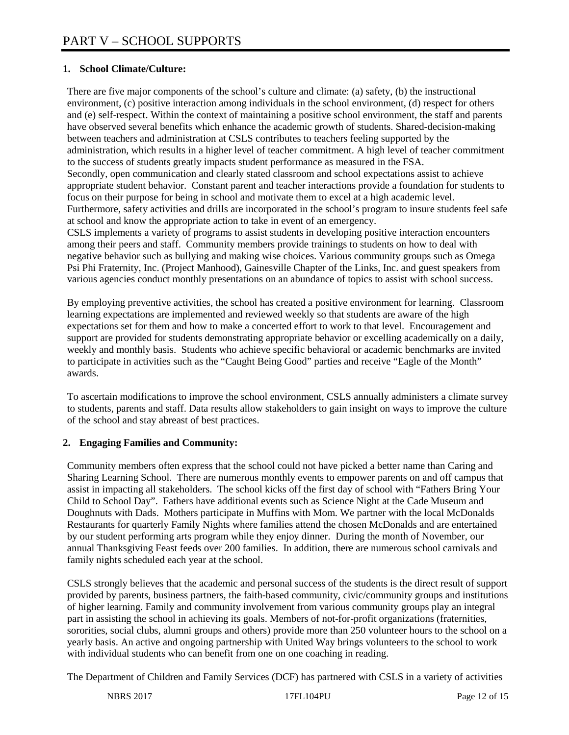## **1. School Climate/Culture:**

There are five major components of the school's culture and climate: (a) safety, (b) the instructional environment, (c) positive interaction among individuals in the school environment, (d) respect for others and (e) self-respect. Within the context of maintaining a positive school environment, the staff and parents have observed several benefits which enhance the academic growth of students. Shared-decision-making between teachers and administration at CSLS contributes to teachers feeling supported by the administration, which results in a higher level of teacher commitment. A high level of teacher commitment to the success of students greatly impacts student performance as measured in the FSA. Secondly, open communication and clearly stated classroom and school expectations assist to achieve appropriate student behavior. Constant parent and teacher interactions provide a foundation for students to focus on their purpose for being in school and motivate them to excel at a high academic level. Furthermore, safety activities and drills are incorporated in the school's program to insure students feel safe at school and know the appropriate action to take in event of an emergency.

CSLS implements a variety of programs to assist students in developing positive interaction encounters among their peers and staff. Community members provide trainings to students on how to deal with negative behavior such as bullying and making wise choices. Various community groups such as Omega Psi Phi Fraternity, Inc. (Project Manhood), Gainesville Chapter of the Links, Inc. and guest speakers from various agencies conduct monthly presentations on an abundance of topics to assist with school success.

By employing preventive activities, the school has created a positive environment for learning. Classroom learning expectations are implemented and reviewed weekly so that students are aware of the high expectations set for them and how to make a concerted effort to work to that level. Encouragement and support are provided for students demonstrating appropriate behavior or excelling academically on a daily, weekly and monthly basis. Students who achieve specific behavioral or academic benchmarks are invited to participate in activities such as the "Caught Being Good" parties and receive "Eagle of the Month" awards.

To ascertain modifications to improve the school environment, CSLS annually administers a climate survey to students, parents and staff. Data results allow stakeholders to gain insight on ways to improve the culture of the school and stay abreast of best practices.

## **2. Engaging Families and Community:**

Community members often express that the school could not have picked a better name than Caring and Sharing Learning School. There are numerous monthly events to empower parents on and off campus that assist in impacting all stakeholders. The school kicks off the first day of school with "Fathers Bring Your Child to School Day". Fathers have additional events such as Science Night at the Cade Museum and Doughnuts with Dads. Mothers participate in Muffins with Mom. We partner with the local McDonalds Restaurants for quarterly Family Nights where families attend the chosen McDonalds and are entertained by our student performing arts program while they enjoy dinner. During the month of November, our annual Thanksgiving Feast feeds over 200 families. In addition, there are numerous school carnivals and family nights scheduled each year at the school.

CSLS strongly believes that the academic and personal success of the students is the direct result of support provided by parents, business partners, the faith-based community, civic/community groups and institutions of higher learning. Family and community involvement from various community groups play an integral part in assisting the school in achieving its goals. Members of not-for-profit organizations (fraternities, sororities, social clubs, alumni groups and others) provide more than 250 volunteer hours to the school on a yearly basis. An active and ongoing partnership with United Way brings volunteers to the school to work with individual students who can benefit from one on one coaching in reading.

The Department of Children and Family Services (DCF) has partnered with CSLS in a variety of activities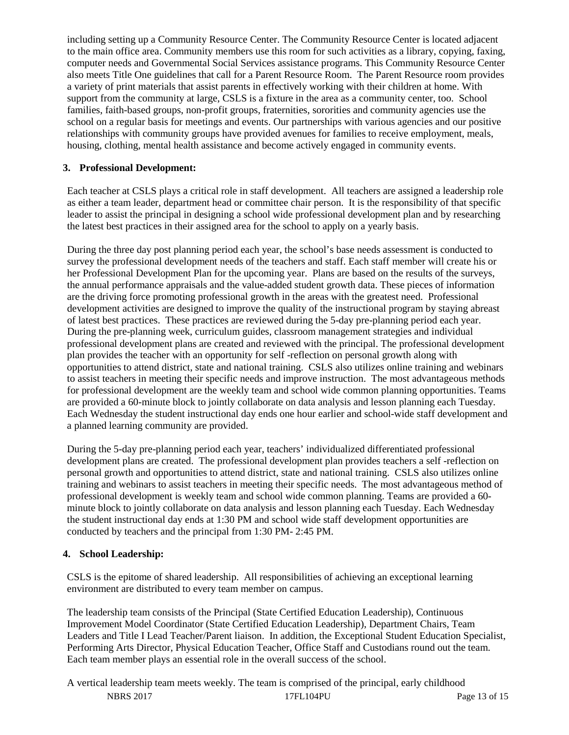including setting up a Community Resource Center. The Community Resource Center is located adjacent to the main office area. Community members use this room for such activities as a library, copying, faxing, computer needs and Governmental Social Services assistance programs. This Community Resource Center also meets Title One guidelines that call for a Parent Resource Room. The Parent Resource room provides a variety of print materials that assist parents in effectively working with their children at home. With support from the community at large, CSLS is a fixture in the area as a community center, too. School families, faith-based groups, non-profit groups, fraternities, sororities and community agencies use the school on a regular basis for meetings and events. Our partnerships with various agencies and our positive relationships with community groups have provided avenues for families to receive employment, meals, housing, clothing, mental health assistance and become actively engaged in community events.

## **3. Professional Development:**

Each teacher at CSLS plays a critical role in staff development. All teachers are assigned a leadership role as either a team leader, department head or committee chair person. It is the responsibility of that specific leader to assist the principal in designing a school wide professional development plan and by researching the latest best practices in their assigned area for the school to apply on a yearly basis.

During the three day post planning period each year, the school's base needs assessment is conducted to survey the professional development needs of the teachers and staff. Each staff member will create his or her Professional Development Plan for the upcoming year. Plans are based on the results of the surveys, the annual performance appraisals and the value-added student growth data. These pieces of information are the driving force promoting professional growth in the areas with the greatest need. Professional development activities are designed to improve the quality of the instructional program by staying abreast of latest best practices. These practices are reviewed during the 5-day pre-planning period each year. During the pre-planning week, curriculum guides, classroom management strategies and individual professional development plans are created and reviewed with the principal. The professional development plan provides the teacher with an opportunity for self -reflection on personal growth along with opportunities to attend district, state and national training. CSLS also utilizes online training and webinars to assist teachers in meeting their specific needs and improve instruction. The most advantageous methods for professional development are the weekly team and school wide common planning opportunities. Teams are provided a 60-minute block to jointly collaborate on data analysis and lesson planning each Tuesday. Each Wednesday the student instructional day ends one hour earlier and school-wide staff development and a planned learning community are provided.

During the 5-day pre-planning period each year, teachers' individualized differentiated professional development plans are created. The professional development plan provides teachers a self -reflection on personal growth and opportunities to attend district, state and national training. CSLS also utilizes online training and webinars to assist teachers in meeting their specific needs. The most advantageous method of professional development is weekly team and school wide common planning. Teams are provided a 60 minute block to jointly collaborate on data analysis and lesson planning each Tuesday. Each Wednesday the student instructional day ends at 1:30 PM and school wide staff development opportunities are conducted by teachers and the principal from 1:30 PM- 2:45 PM.

## **4. School Leadership:**

CSLS is the epitome of shared leadership. All responsibilities of achieving an exceptional learning environment are distributed to every team member on campus.

The leadership team consists of the Principal (State Certified Education Leadership), Continuous Improvement Model Coordinator (State Certified Education Leadership), Department Chairs, Team Leaders and Title I Lead Teacher/Parent liaison. In addition, the Exceptional Student Education Specialist, Performing Arts Director, Physical Education Teacher, Office Staff and Custodians round out the team. Each team member plays an essential role in the overall success of the school.

NBRS 2017 17FL104PU Page 13 of 15 A vertical leadership team meets weekly. The team is comprised of the principal, early childhood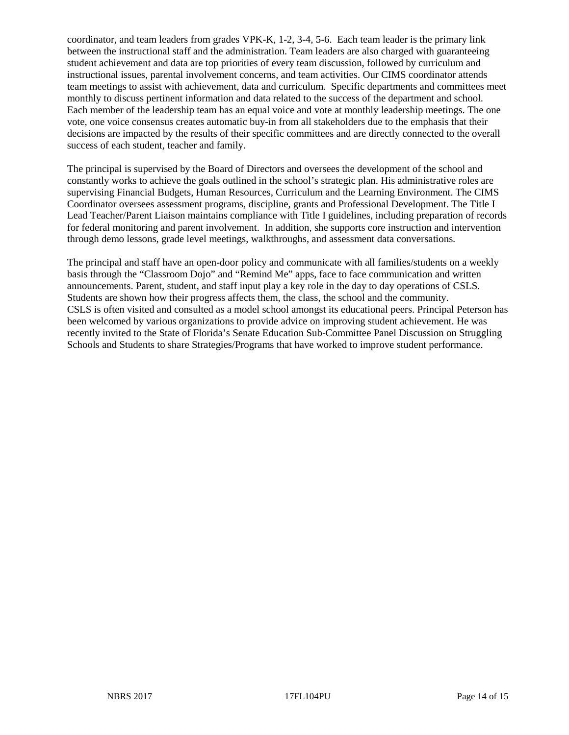coordinator, and team leaders from grades VPK-K, 1-2, 3-4, 5-6. Each team leader is the primary link between the instructional staff and the administration. Team leaders are also charged with guaranteeing student achievement and data are top priorities of every team discussion, followed by curriculum and instructional issues, parental involvement concerns, and team activities. Our CIMS coordinator attends team meetings to assist with achievement, data and curriculum. Specific departments and committees meet monthly to discuss pertinent information and data related to the success of the department and school. Each member of the leadership team has an equal voice and vote at monthly leadership meetings. The one vote, one voice consensus creates automatic buy-in from all stakeholders due to the emphasis that their decisions are impacted by the results of their specific committees and are directly connected to the overall success of each student, teacher and family.

The principal is supervised by the Board of Directors and oversees the development of the school and constantly works to achieve the goals outlined in the school's strategic plan. His administrative roles are supervising Financial Budgets, Human Resources, Curriculum and the Learning Environment. The CIMS Coordinator oversees assessment programs, discipline, grants and Professional Development. The Title I Lead Teacher/Parent Liaison maintains compliance with Title I guidelines, including preparation of records for federal monitoring and parent involvement. In addition, she supports core instruction and intervention through demo lessons, grade level meetings, walkthroughs, and assessment data conversations.

The principal and staff have an open-door policy and communicate with all families/students on a weekly basis through the "Classroom Dojo" and "Remind Me" apps, face to face communication and written announcements. Parent, student, and staff input play a key role in the day to day operations of CSLS. Students are shown how their progress affects them, the class, the school and the community. CSLS is often visited and consulted as a model school amongst its educational peers. Principal Peterson has been welcomed by various organizations to provide advice on improving student achievement. He was recently invited to the State of Florida's Senate Education Sub-Committee Panel Discussion on Struggling Schools and Students to share Strategies/Programs that have worked to improve student performance.